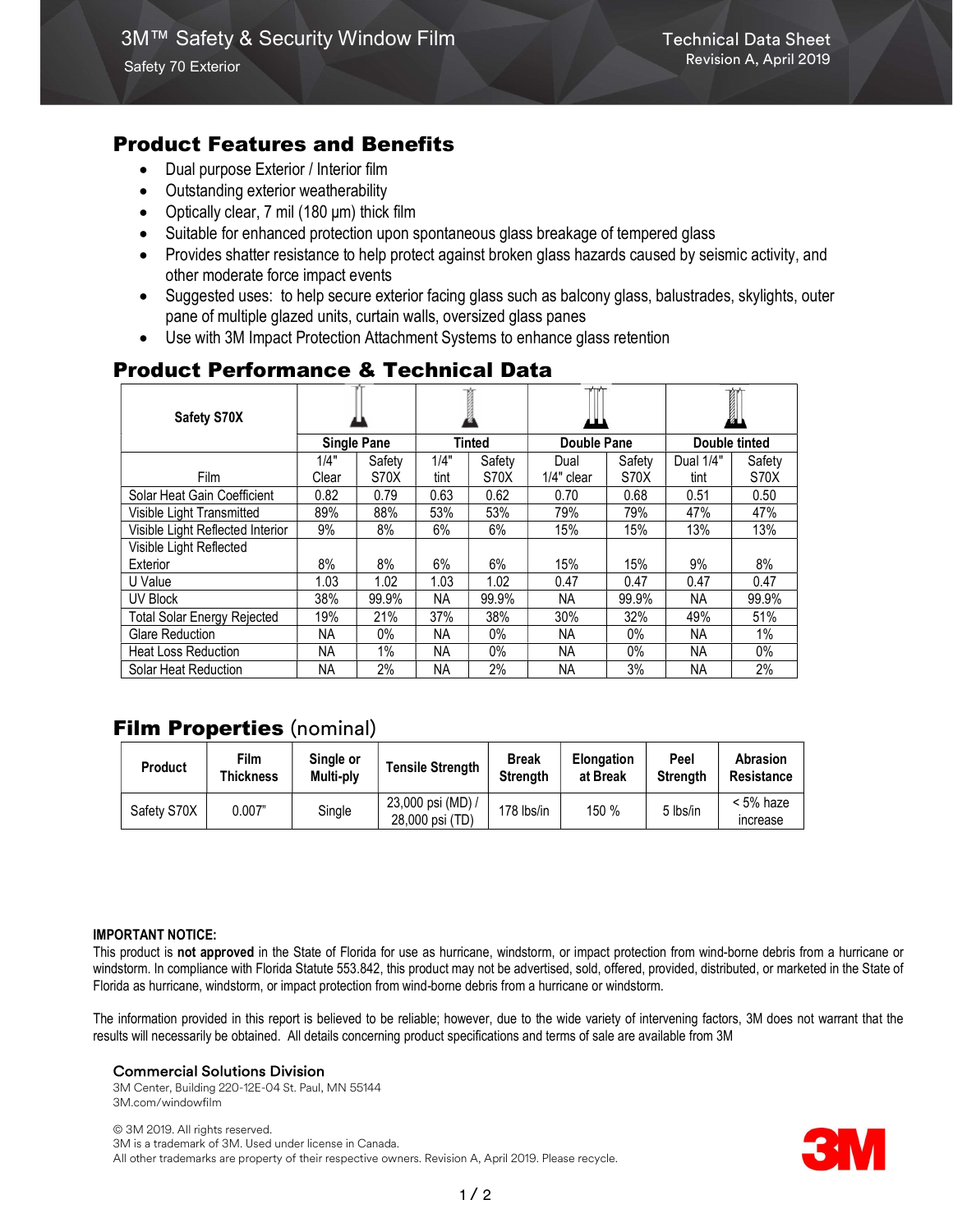# Product Features and Benefits

- Dual purpose Exterior / Interior film
- Outstanding exterior weatherability
- Optically clear, 7 mil (180 μm) thick film
- Suitable for enhanced protection upon spontaneous glass breakage of tempered glass
- Provides shatter resistance to help protect against broken glass hazards caused by seismic activity, and other moderate force impact events
- Suggested uses: to help secure exterior facing glass such as balcony glass, balustrades, skylights, outer pane of multiple glazed units, curtain walls, oversized glass panes
- Use with 3M Impact Protection Attachment Systems to enhance glass retention

# Product Performance & Technical Data

| Safety S70X                        |                    |        |               |        |             |        | I             |        |
|------------------------------------|--------------------|--------|---------------|--------|-------------|--------|---------------|--------|
|                                    | <b>Single Pane</b> |        | <b>Tinted</b> |        | Double Pane |        | Double tinted |        |
|                                    | 1/4"               | Safety | 1/4"          | Safety | Dual        | Safety | Dual 1/4"     | Safety |
| <b>Film</b>                        | Clear              | S70X   | tint          | S70X   | 1/4" clear  | S70X   | tint          | S70X   |
| Solar Heat Gain Coefficient        | 0.82               | 0.79   | 0.63          | 0.62   | 0.70        | 0.68   | 0.51          | 0.50   |
| Visible Light Transmitted          | 89%                | 88%    | 53%           | 53%    | 79%         | 79%    | 47%           | 47%    |
| Visible Light Reflected Interior   | 9%                 | 8%     | 6%            | 6%     | 15%         | 15%    | 13%           | 13%    |
| Visible Light Reflected            |                    |        |               |        |             |        |               |        |
| Exterior                           | 8%                 | 8%     | $6\%$         | 6%     | 15%         | 15%    | 9%            | 8%     |
| U Value                            | 1.03               | 1.02   | 1.03          | 1.02   | 0.47        | 0.47   | 0.47          | 0.47   |
| UV Block                           | 38%                | 99.9%  | NА            | 99.9%  | NА          | 99.9%  | <b>NA</b>     | 99.9%  |
| <b>Total Solar Energy Rejected</b> | 19%                | 21%    | 37%           | 38%    | 30%         | 32%    | 49%           | 51%    |
| Glare Reduction                    | NA.                | $0\%$  | NА            | $0\%$  | NA.         | $0\%$  | NA.           | 1%     |
| <b>Heat Loss Reduction</b>         | NA.                | 1%     | NА            | $0\%$  | NA.         | $0\%$  | NA            | 0%     |
| Solar Heat Reduction               | NA                 | 2%     | <b>NA</b>     | 2%     | <b>NA</b>   | 3%     | <b>NA</b>     | 2%     |

# **Film Properties (nominal)**

| Product     | Film<br><b>Thickness</b> | Single or<br>Multi-ply | <b>Tensile Strength</b>              | <b>Break</b><br><b>Strenath</b> | <b>Elongation</b><br>at Break | Peel<br>Strenath | <b>Abrasion</b><br>Resistance |
|-------------|--------------------------|------------------------|--------------------------------------|---------------------------------|-------------------------------|------------------|-------------------------------|
| Safety S70X | 0.007"                   | Single                 | 23,000 psi (MD) /<br>28,000 psi (TD) | 178 lbs/in                      | 150 %                         | 5 lbs/in         | $< 5\%$ haze<br>increase      |

#### IMPORTANT NOTICE:

This product is not approved in the State of Florida for use as hurricane, windstorm, or impact protection from wind-borne debris from a hurricane or windstorm. In compliance with Florida Statute 553.842, this product may not be advertised, sold, offered, provided, distributed, or marketed in the State of Florida as hurricane, windstorm, or impact protection from wind-borne debris from a hurricane or windstorm.

The information provided in this report is believed to be reliable; however, due to the wide variety of intervening factors, 3M does not warrant that the results will necessarily be obtained. All details concerning product specifications and terms of sale are available from 3M

#### Commercial Solutions Division

3M Center, Building 220-12E-04 St. Paul, MN 55144 3M.com/windowfilm

© 3M 2019. All rights reserved. 3M is a trademark of 3M. Used under license in Canada. All other trademarks are property of their respective owners. Revision A, April 2019. Please recycle.